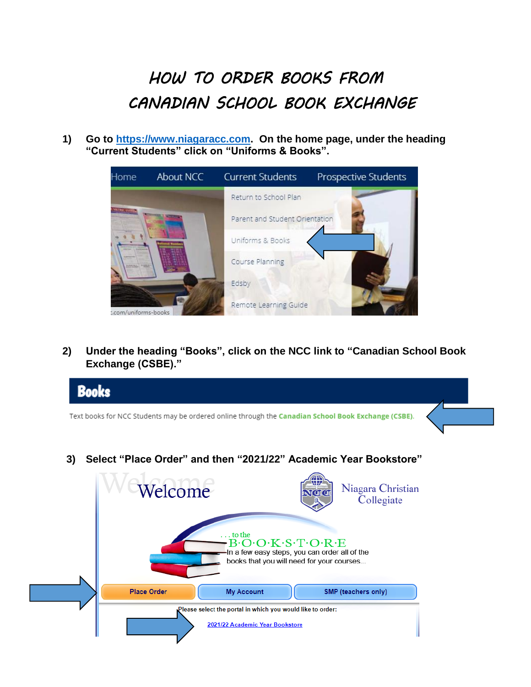## *HOW TO ORDER BOOKS FROM CANADIAN SCHOOL BOOK EXCHANGE*

**1) Go to [https://www.niagaracc.com.](https://www.niagaracc.com/) On the home page, under the heading "Current Students" click on "Uniforms & Books".**

| Home                 | About NCC | <b>Current Students</b>        | Prospective Students |
|----------------------|-----------|--------------------------------|----------------------|
|                      |           | Return to School Plan          |                      |
|                      |           | Parent and Student Orientation |                      |
|                      |           | Uniforms & Books               |                      |
|                      |           | Course Planning                |                      |
|                      |           | Edsby                          |                      |
| : com/uniforms-books |           | Remote Learning Guide          |                      |

**2) Under the heading "Books", click on the NCC link to "Canadian School Book Exchange (CSBE)."**

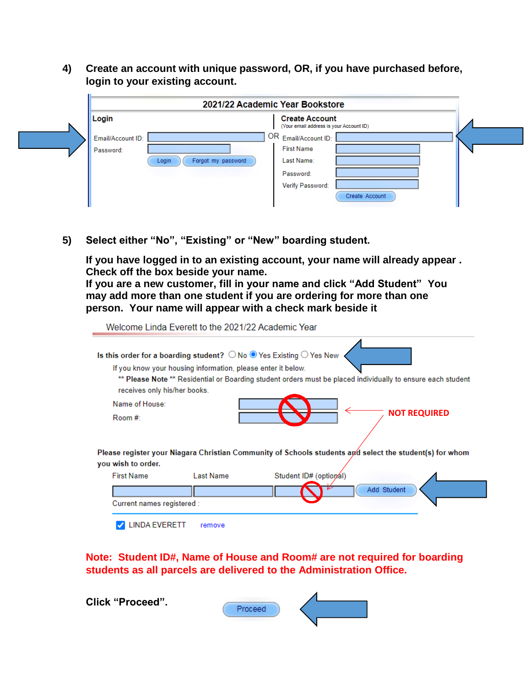**4) Create an account with unique password, OR, if you have purchased before, login to your existing account.**

|                   |                             | 2021/22 Academic Year Bookstore                                  |  |
|-------------------|-----------------------------|------------------------------------------------------------------|--|
| Login             |                             | <b>Create Account</b><br>(Your email address is your Account ID) |  |
| Email/Account ID: |                             | OR Email/Account ID:                                             |  |
| Password:         |                             | <b>First Name</b>                                                |  |
|                   | Forgot my password<br>Login | Last Name:                                                       |  |
|                   |                             | Password:                                                        |  |
|                   |                             | Verify Password:                                                 |  |
|                   |                             | Create Account                                                   |  |

**5) Select either "No", "Existing" or "New" boarding student.**

**If you have logged in to an existing account, your name will already appear . Check off the box beside your name.**

**If you are a new customer, fill in your name and click "Add Student" You may add more than one student if you are ordering for more than one person. Your name will appear with a check mark beside it**

|                               | Welcome Linda Everett to the 2021/22 Academic Year           |                                                                                                                                                                                                               |
|-------------------------------|--------------------------------------------------------------|---------------------------------------------------------------------------------------------------------------------------------------------------------------------------------------------------------------|
| receives only his/her books.  | If you know your housing information, please enter it below. | Is this order for a boarding student? $\bigcirc$ No $\bigcirc$ Yes Existing $\bigcirc$ Yes New<br>** Please Note ** Residential or Boarding student orders must be placed individually to ensure each student |
| Name of House:                |                                                              | <b>NOT REQUIRED</b>                                                                                                                                                                                           |
| Room #:<br>you wish to order. |                                                              | Please register your Niagara Christian Community of Schools students and select the student(s) for whom                                                                                                       |
| <b>First Name</b>             | <b>Last Name</b>                                             | Student ID# (optional)                                                                                                                                                                                        |
|                               |                                                              | Add Student                                                                                                                                                                                                   |
| Current names registered :    |                                                              |                                                                                                                                                                                                               |
| INDA EVERETT.                 | remove                                                       |                                                                                                                                                                                                               |

**Note: Student ID#, Name of House and Room# are not required for boarding students as all parcels are delivered to the Administration Office.** 

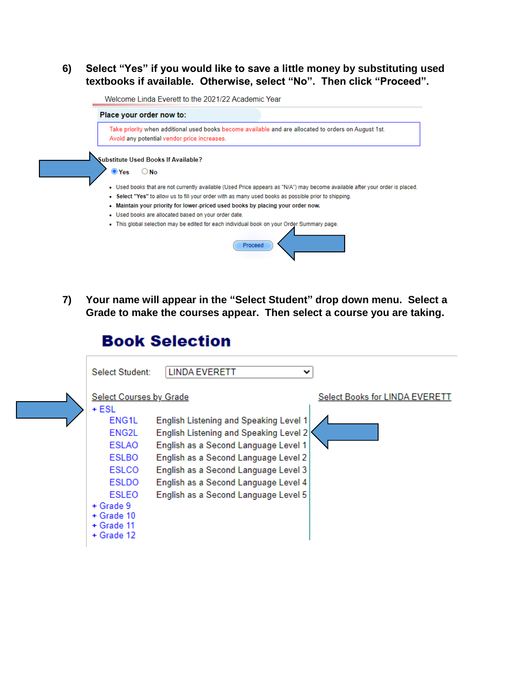## **6) Select "Yes" if you would like to save a little money by substituting used textbooks if available. Otherwise, select "No". Then click "Proceed".**

Welcome Linda Everett to the 2021/22 Academic Year Place your order now to: Take priority when additional used books become available and are allocated to orders on August 1st. Avoid any potential vendor price increases. Substitute Used Books If Available?  $\bullet$  Yes  $\bigcirc$  No - Used books that are not currently available (Used Price appears as "N/A") may become available after your order is placed. • Select "Yes" to allow us to fill your order with as many used books as possible prior to shipping. - Maintain your priority for lower-priced used books by placing your order now. · Used books are allocated based on your order date. . This global selection may be edited for each individual book on your Order Summary page. Proceed

**7) Your name will appear in the "Select Student" drop down menu. Select a Grade to make the courses appear. Then select a course you are taking.**

## **Book Selection**

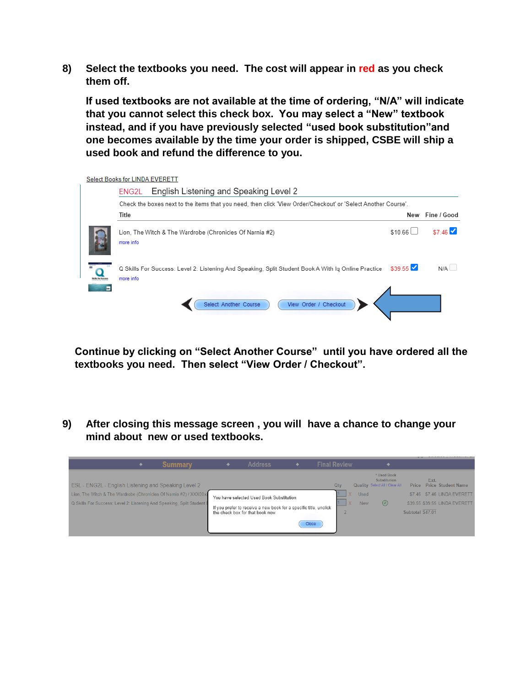**8) Select the textbooks you need. The cost will appear in red as you check them off.**

 **If used textbooks are not available at the time of ordering, "N/A" will indicate that you cannot select this check box. You may select a "New" textbook instead, and if you have previously selected "used book substitution"and one becomes available by the time your order is shipped, CSBE will ship a used book and refund the difference to you.**

Select Books for LINDA EVERETT

|   | English Listening and Speaking Level 2<br>ENG2L                                                                  |                     |                 |
|---|------------------------------------------------------------------------------------------------------------------|---------------------|-----------------|
|   | Check the boxes next to the items that you need, then click 'View Order/Checkout' or 'Select Another Course'.    |                     |                 |
|   | Title                                                                                                            |                     | New Fine / Good |
|   | Lion, The Witch & The Wardrobe (Chronicles Of Narnia #2)<br>more info                                            | \$10.66             | \$746           |
| - | Q Skills For Success: Level 2: Listening And Speaking, Split Student Book A With Ig Online Practice<br>more info | $$39.55$ $\sqrt{ }$ | N/A             |
|   | View Order / Checkout<br>Select Another Course                                                                   |                     |                 |

**Continue by clicking on "Select Another Course" until you have ordered all the textbooks you need. Then select "View Order / Checkout".**

**9) After closing this message screen , you will have a chance to change your mind about new or used textbooks.** 

| <b>Summary</b>                                                         | <b>Address</b>                                                                                        | <b>Final Review</b> |                     |            |                                                               |                  |                                   |
|------------------------------------------------------------------------|-------------------------------------------------------------------------------------------------------|---------------------|---------------------|------------|---------------------------------------------------------------|------------------|-----------------------------------|
| ESL - ENG2L - English Listening and Speaking Level 2                   |                                                                                                       |                     | Qtv                 |            | * Used Book<br>Substitution<br>Quality Select All / Clear All | Price            | Ext.<br><b>Price Student Name</b> |
| Lion, The Witch & The Wardrobe (Chronicles Of Namia #2) / XXX00x       | You have selected Used Book Substitution                                                              |                     |                     | Used       |                                                               |                  | \$7.46 \$7.46 LINDA EVERETT       |
| Q Skills For Success: Level 2: Listening And Speaking, Split Student E |                                                                                                       |                     | $\mathsf{I} \times$ | <b>New</b> | $(\vee)$                                                      |                  | \$39.55 \$39.55 LINDA EVERETT     |
|                                                                        | If you prefer to receive a new book for a specific title, unclick<br>the check box for that book now. |                     |                     |            |                                                               | Subtotal \$47.01 |                                   |
|                                                                        |                                                                                                       | Close               |                     |            |                                                               |                  |                                   |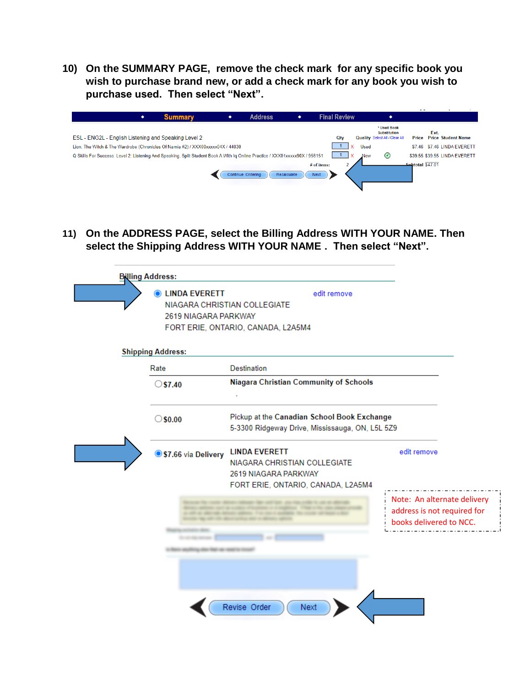**10) On the SUMMARY PAGE, remove the check mark for any specific book you wish to purchase brand new, or add a check mark for any book you wish to purchase used. Then select "Next".**

|                                                                                                                              | ٠ | <b>Summary</b> | ۰ | <b>Address</b>    | ٠           |             | <b>Final Review</b> |                                                                             | .                |                                   |
|------------------------------------------------------------------------------------------------------------------------------|---|----------------|---|-------------------|-------------|-------------|---------------------|-----------------------------------------------------------------------------|------------------|-----------------------------------|
| ESL - ENG2L - English Listening and Speaking Level 2                                                                         |   |                |   |                   |             |             | Qty                 | * Used Book<br><b>Substitution</b><br><b>Quality</b> Select All / Clear All | Price            | Ext.<br><b>Price Student Name</b> |
| Lion, The Witch & The Wardrobe (Chronicles Of Namia #2) / XXX00xxxx04X / 44030                                               |   |                |   |                   |             |             |                     | <b>Used</b>                                                                 |                  | \$7.46 \$7.46 LINDA EVERETT       |
| Q Skills For Success: Level 2: Listening And Speaking, Split Student Book A With Ig Online Practice / XXX01xxxxx90X / 956151 |   |                |   |                   |             |             |                     | $\odot$<br><b>New</b>                                                       |                  | \$39.55 \$39.55 LINDA EVERETT     |
|                                                                                                                              |   |                |   |                   |             | # of items: |                     |                                                                             | Subtotal \$47.01 |                                   |
|                                                                                                                              |   |                |   | Continue Ordering | Recalculate | <b>Next</b> |                     |                                                                             |                  |                                   |
|                                                                                                                              |   |                |   |                   |             |             |                     |                                                                             |                  |                                   |

**11) On the ADDRESS PAGE, select the Billing Address WITH YOUR NAME. Then select the Shipping Address WITH YOUR NAME . Then select "Next".**